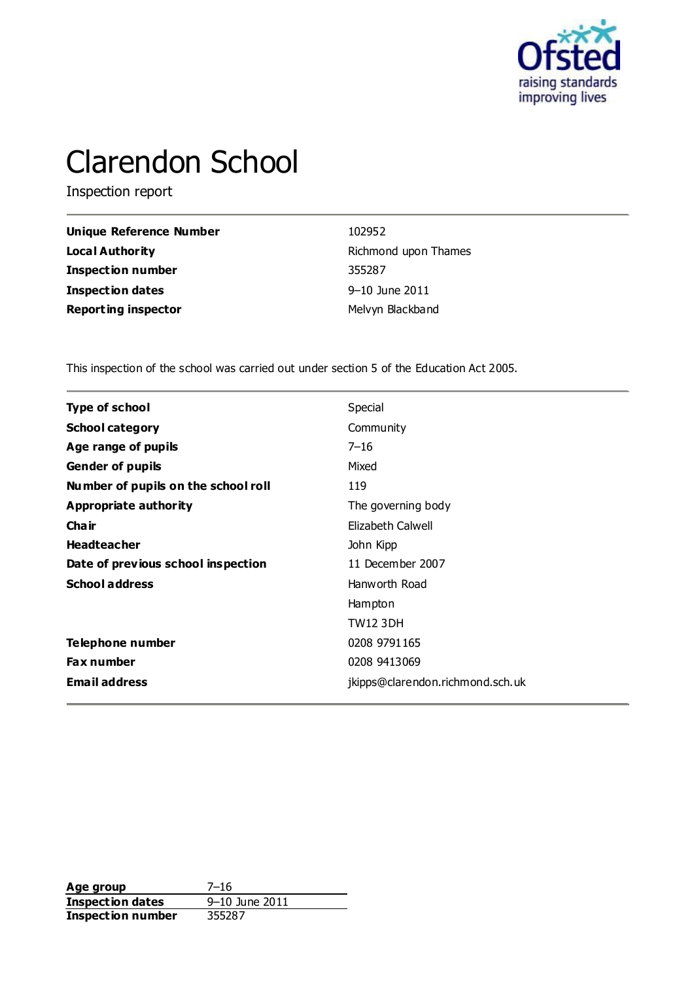

# Clarendon School

Inspection report

| <b>Unique Reference Number</b> | 102952               |
|--------------------------------|----------------------|
| <b>Local Authority</b>         | Richmond upon Thames |
| <b>Inspection number</b>       | 355287               |
| <b>Inspection dates</b>        | 9-10 June 2011       |
| <b>Reporting inspector</b>     | Melvyn Blackband     |

This inspection of the school was carried out under section 5 of the Education Act 2005.

| <b>Type of school</b>               | Special                          |
|-------------------------------------|----------------------------------|
| <b>School category</b>              | Community                        |
| Age range of pupils                 | $7 - 16$                         |
| <b>Gender of pupils</b>             | Mixed                            |
| Number of pupils on the school roll | 119                              |
| Appropriate authority               | The governing body               |
| Cha ir                              | Elizabeth Calwell                |
| <b>Headteacher</b>                  | John Kipp                        |
| Date of previous school inspection  | 11 December 2007                 |
| <b>School address</b>               | Hanworth Road                    |
|                                     | Hampton                          |
|                                     | <b>TW12 3DH</b>                  |
| Telephone number                    | 0208 9791 165                    |
| <b>Fax number</b>                   | 0208 9413069                     |
| <b>Email address</b>                | jkipps@clarendon.richmond.sch.uk |
|                                     |                                  |

**Age group** 7–16<br> **Inspection dates** 9–10 June 2011 **Inspection dates** 9–10 June 2011 **Inspection number** 355287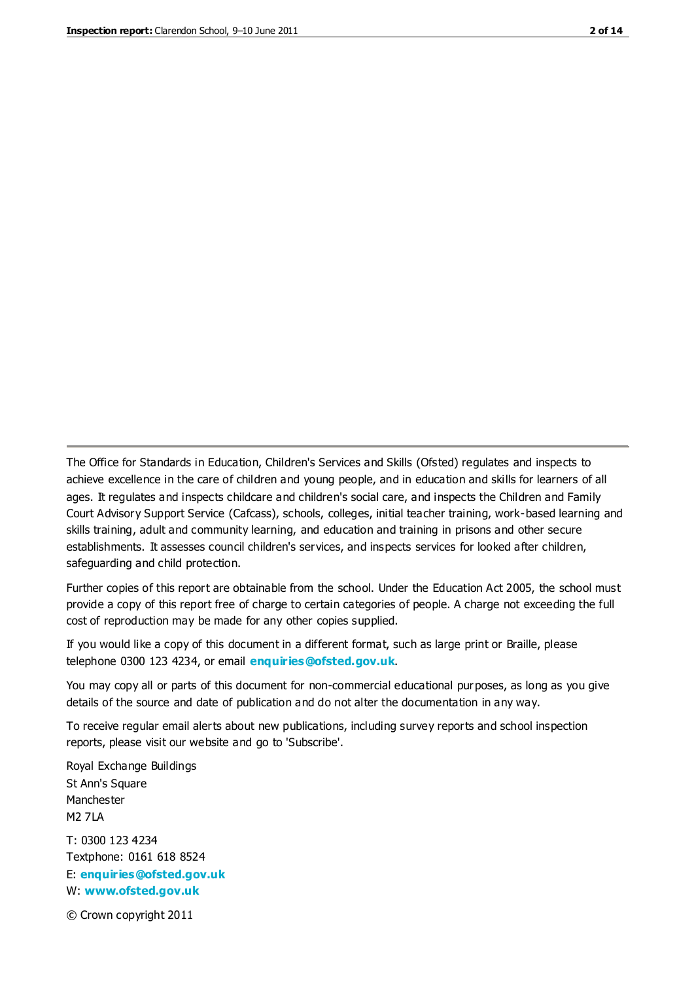The Office for Standards in Education, Children's Services and Skills (Ofsted) regulates and inspects to achieve excellence in the care of children and young people, and in education and skills for learners of all ages. It regulates and inspects childcare and children's social care, and inspects the Children and Family Court Advisory Support Service (Cafcass), schools, colleges, initial teacher training, work-based learning and skills training, adult and community learning, and education and training in prisons and other secure establishments. It assesses council children's services, and inspects services for looked after children, safeguarding and child protection.

Further copies of this report are obtainable from the school. Under the Education Act 2005, the school must provide a copy of this report free of charge to certain categories of people. A charge not exceeding the full cost of reproduction may be made for any other copies supplied.

If you would like a copy of this document in a different format, such as large print or Braille, please telephone 0300 123 4234, or email **[enquiries@ofsted.gov.uk](mailto:enquiries@ofsted.gov.uk)**.

You may copy all or parts of this document for non-commercial educational purposes, as long as you give details of the source and date of publication and do not alter the documentation in any way.

To receive regular email alerts about new publications, including survey reports and school inspection reports, please visit our website and go to 'Subscribe'.

Royal Exchange Buildings St Ann's Square Manchester M2 7LA T: 0300 123 4234 Textphone: 0161 618 8524 E: **[enquiries@ofsted.gov.uk](mailto:enquiries@ofsted.gov.uk)**

W: **[www.ofsted.gov.uk](http://www.ofsted.gov.uk/)**

© Crown copyright 2011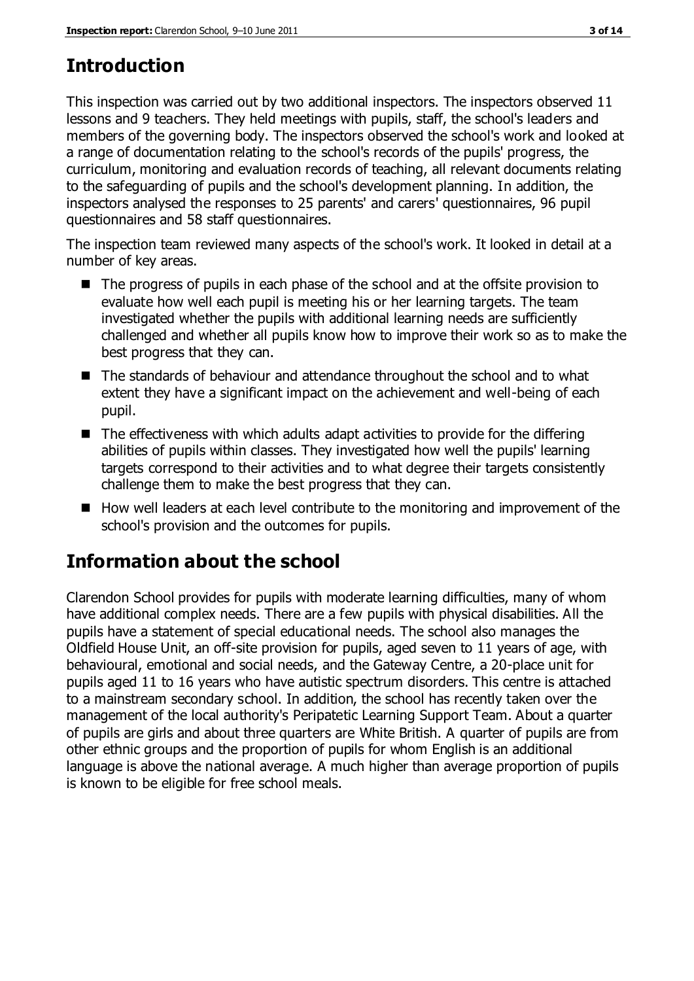## **Introduction**

This inspection was carried out by two additional inspectors. The inspectors observed 11 lessons and 9 teachers. They held meetings with pupils, staff, the school's leaders and members of the governing body. The inspectors observed the school's work and looked at a range of documentation relating to the school's records of the pupils' progress, the curriculum, monitoring and evaluation records of teaching, all relevant documents relating to the safeguarding of pupils and the school's development planning. In addition, the inspectors analysed the responses to 25 parents' and carers' questionnaires, 96 pupil questionnaires and 58 staff questionnaires.

The inspection team reviewed many aspects of the school's work. It looked in detail at a number of key areas.

- The progress of pupils in each phase of the school and at the offsite provision to evaluate how well each pupil is meeting his or her learning targets. The team investigated whether the pupils with additional learning needs are sufficiently challenged and whether all pupils know how to improve their work so as to make the best progress that they can.
- The standards of behaviour and attendance throughout the school and to what extent they have a significant impact on the achievement and well-being of each pupil.
- $\blacksquare$  The effectiveness with which adults adapt activities to provide for the differing abilities of pupils within classes. They investigated how well the pupils' learning targets correspond to their activities and to what degree their targets consistently challenge them to make the best progress that they can.
- How well leaders at each level contribute to the monitoring and improvement of the school's provision and the outcomes for pupils.

## **Information about the school**

Clarendon School provides for pupils with moderate learning difficulties, many of whom have additional complex needs. There are a few pupils with physical disabilities. All the pupils have a statement of special educational needs. The school also manages the Oldfield House Unit, an off-site provision for pupils, aged seven to 11 years of age, with behavioural, emotional and social needs, and the Gateway Centre, a 20-place unit for pupils aged 11 to 16 years who have autistic spectrum disorders. This centre is attached to a mainstream secondary school. In addition, the school has recently taken over the management of the local authority's Peripatetic Learning Support Team. About a quarter of pupils are girls and about three quarters are White British. A quarter of pupils are from other ethnic groups and the proportion of pupils for whom English is an additional language is above the national average. A much higher than average proportion of pupils is known to be eligible for free school meals.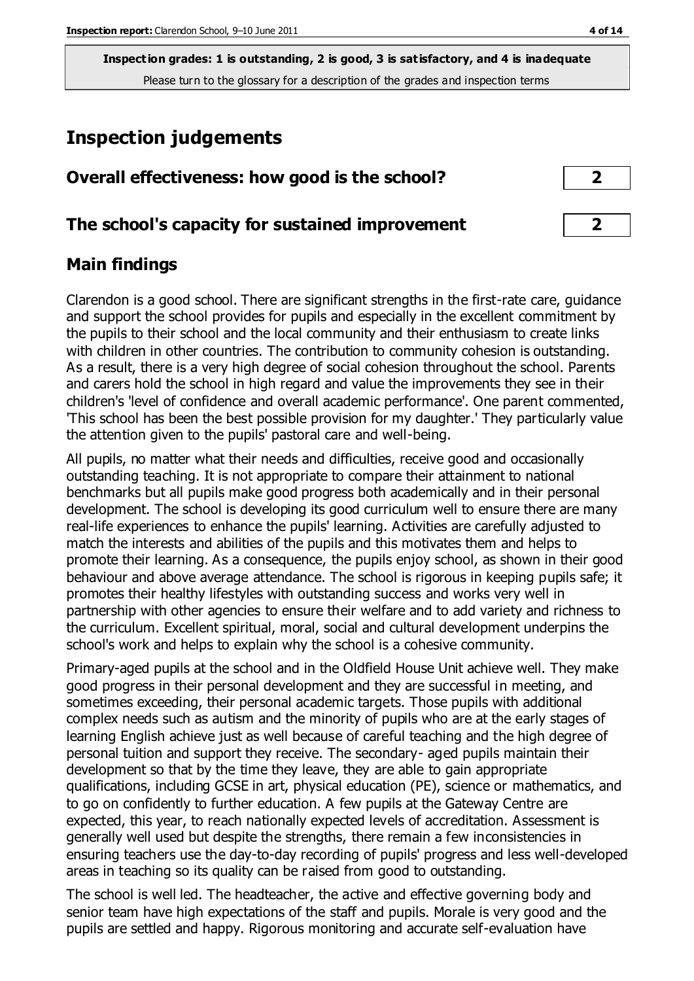## **Inspection judgements**

| Overall effectiveness: how good is the school? |  |
|------------------------------------------------|--|
|------------------------------------------------|--|

#### **The school's capacity for sustained improvement 2**

#### **Main findings**

Clarendon is a good school. There are significant strengths in the first-rate care, guidance and support the school provides for pupils and especially in the excellent commitment by the pupils to their school and the local community and their enthusiasm to create links with children in other countries. The contribution to community cohesion is outstanding. As a result, there is a very high degree of social cohesion throughout the school. Parents and carers hold the school in high regard and value the improvements they see in their children's 'level of confidence and overall academic performance'. One parent commented, 'This school has been the best possible provision for my daughter.' They particularly value the attention given to the pupils' pastoral care and well-being.

All pupils, no matter what their needs and difficulties, receive good and occasionally outstanding teaching. It is not appropriate to compare their attainment to national benchmarks but all pupils make good progress both academically and in their personal development. The school is developing its good curriculum well to ensure there are many real-life experiences to enhance the pupils' learning. Activities are carefully adjusted to match the interests and abilities of the pupils and this motivates them and helps to promote their learning. As a consequence, the pupils enjoy school, as shown in their good behaviour and above average attendance. The school is rigorous in keeping pupils safe; it promotes their healthy lifestyles with outstanding success and works very well in partnership with other agencies to ensure their welfare and to add variety and richness to the curriculum. Excellent spiritual, moral, social and cultural development underpins the school's work and helps to explain why the school is a cohesive community.

Primary-aged pupils at the school and in the Oldfield House Unit achieve well. They make good progress in their personal development and they are successful in meeting, and sometimes exceeding, their personal academic targets. Those pupils with additional complex needs such as autism and the minority of pupils who are at the early stages of learning English achieve just as well because of careful teaching and the high degree of personal tuition and support they receive. The secondary- aged pupils maintain their development so that by the time they leave, they are able to gain appropriate qualifications, including GCSE in art, physical education (PE), science or mathematics, and to go on confidently to further education. A few pupils at the Gateway Centre are expected, this year, to reach nationally expected levels of accreditation. Assessment is generally well used but despite the strengths, there remain a few inconsistencies in ensuring teachers use the day-to-day recording of pupils' progress and less well-developed areas in teaching so its quality can be raised from good to outstanding.

The school is well led. The headteacher, the active and effective governing body and senior team have high expectations of the staff and pupils. Morale is very good and the pupils are settled and happy. Rigorous monitoring and accurate self-evaluation have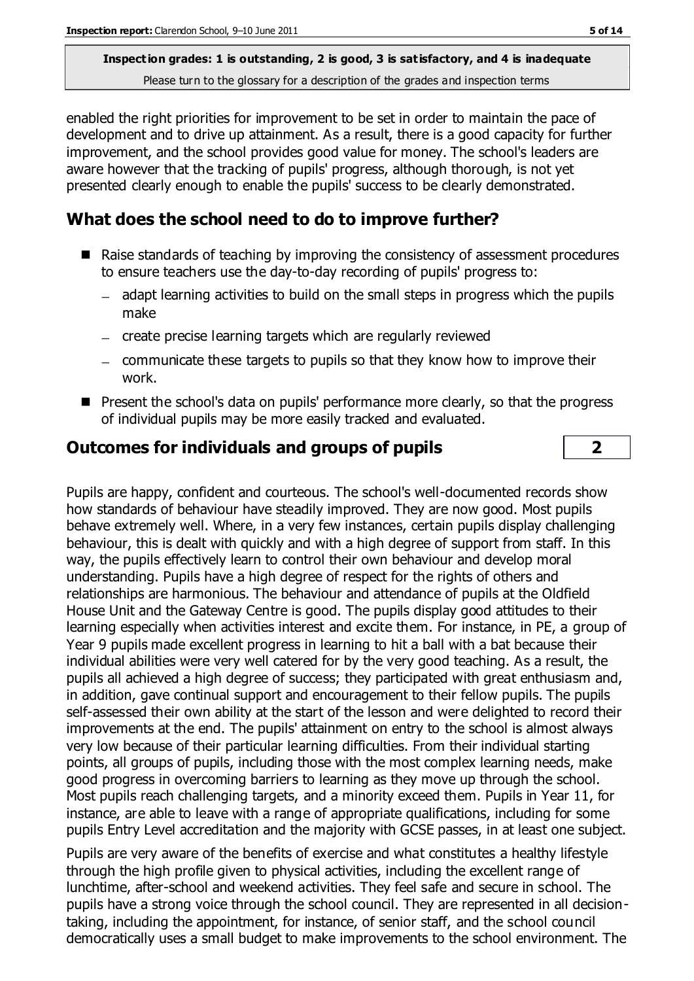enabled the right priorities for improvement to be set in order to maintain the pace of development and to drive up attainment. As a result, there is a good capacity for further improvement, and the school provides good value for money. The school's leaders are aware however that the tracking of pupils' progress, although thorough, is not yet presented clearly enough to enable the pupils' success to be clearly demonstrated.

### **What does the school need to do to improve further?**

- Raise standards of teaching by improving the consistency of assessment procedures to ensure teachers use the day-to-day recording of pupils' progress to:
	- adapt learning activities to build on the small steps in progress which the pupils make
	- create precise learning targets which are regularly reviewed
	- $-$  communicate these targets to pupils so that they know how to improve their work.
- **Peropeoperate in the school's data on pupils' performance more clearly, so that the progress Pupils** of individual pupils may be more easily tracked and evaluated.

#### **Outcomes for individuals and groups of pupils 2**

Pupils are happy, confident and courteous. The school's well-documented records show how standards of behaviour have steadily improved. They are now good. Most pupils behave extremely well. Where, in a very few instances, certain pupils display challenging behaviour, this is dealt with quickly and with a high degree of support from staff. In this way, the pupils effectively learn to control their own behaviour and develop moral understanding. Pupils have a high degree of respect for the rights of others and relationships are harmonious. The behaviour and attendance of pupils at the Oldfield House Unit and the Gateway Centre is good. The pupils display good attitudes to their learning especially when activities interest and excite them. For instance, in PE, a group of Year 9 pupils made excellent progress in learning to hit a ball with a bat because their individual abilities were very well catered for by the very good teaching. As a result, the pupils all achieved a high degree of success; they participated with great enthusiasm and, in addition, gave continual support and encouragement to their fellow pupils. The pupils self-assessed their own ability at the start of the lesson and were delighted to record their improvements at the end. The pupils' attainment on entry to the school is almost always very low because of their particular learning difficulties. From their individual starting points, all groups of pupils, including those with the most complex learning needs, make good progress in overcoming barriers to learning as they move up through the school. Most pupils reach challenging targets, and a minority exceed them. Pupils in Year 11, for instance, are able to leave with a range of appropriate qualifications, including for some pupils Entry Level accreditation and the majority with GCSE passes, in at least one subject.

Pupils are very aware of the benefits of exercise and what constitutes a healthy lifestyle through the high profile given to physical activities, including the excellent range of lunchtime, after-school and weekend activities. They feel safe and secure in school. The pupils have a strong voice through the school council. They are represented in all decisiontaking, including the appointment, for instance, of senior staff, and the school council democratically uses a small budget to make improvements to the school environment. The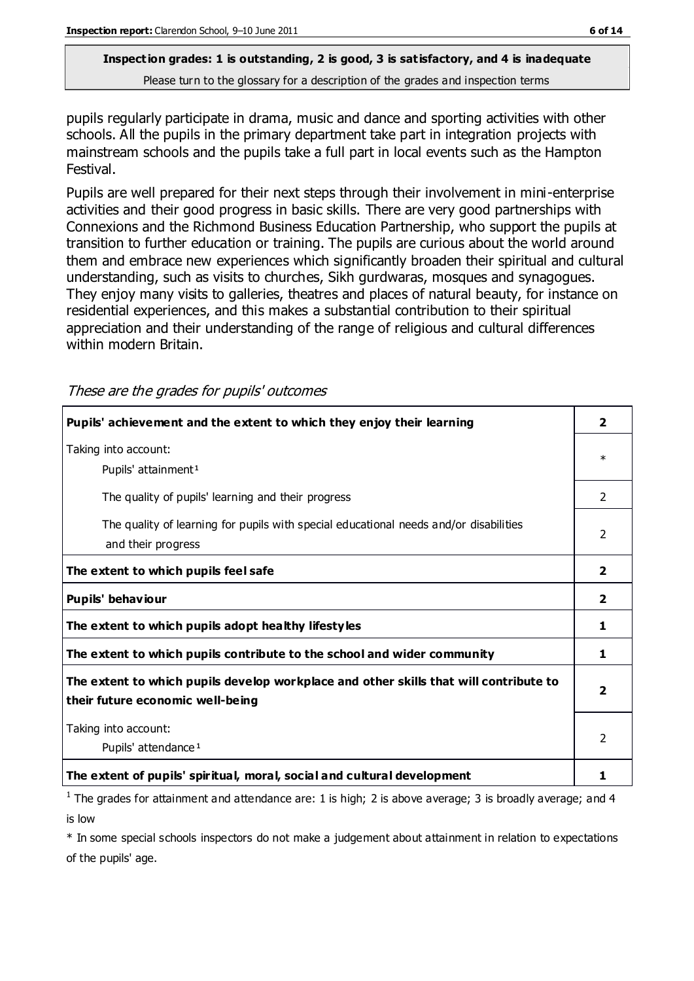pupils regularly participate in drama, music and dance and sporting activities with other schools. All the pupils in the primary department take part in integration projects with mainstream schools and the pupils take a full part in local events such as the Hampton Festival.

Pupils are well prepared for their next steps through their involvement in mini-enterprise activities and their good progress in basic skills. There are very good partnerships with Connexions and the Richmond Business Education Partnership, who support the pupils at transition to further education or training. The pupils are curious about the world around them and embrace new experiences which significantly broaden their spiritual and cultural understanding, such as visits to churches, Sikh gurdwaras, mosques and synagogues. They enjoy many visits to galleries, theatres and places of natural beauty, for instance on residential experiences, and this makes a substantial contribution to their spiritual appreciation and their understanding of the range of religious and cultural differences within modern Britain.

These are the grades for pupils' outcomes

| Pupils' achievement and the extent to which they enjoy their learning                                                     | 2            |
|---------------------------------------------------------------------------------------------------------------------------|--------------|
| Taking into account:<br>Pupils' attainment <sup>1</sup>                                                                   | $\ast$       |
| The quality of pupils' learning and their progress                                                                        | 2            |
| The quality of learning for pupils with special educational needs and/or disabilities<br>and their progress               |              |
| The extent to which pupils feel safe                                                                                      | $\mathbf{2}$ |
| Pupils' behaviour                                                                                                         | $\mathbf{2}$ |
| The extent to which pupils adopt healthy lifestyles                                                                       | 1.           |
| The extent to which pupils contribute to the school and wider community                                                   | 1            |
| The extent to which pupils develop workplace and other skills that will contribute to<br>their future economic well-being |              |
| Taking into account:<br>Pupils' attendance <sup>1</sup>                                                                   |              |
| The extent of pupils' spiritual, moral, social and cultural development                                                   | 1            |

<sup>1</sup> The grades for attainment and attendance are: 1 is high; 2 is above average; 3 is broadly average; and 4 is low

\* In some special schools inspectors do not make a judgement about attainment in relation to expectations of the pupils' age.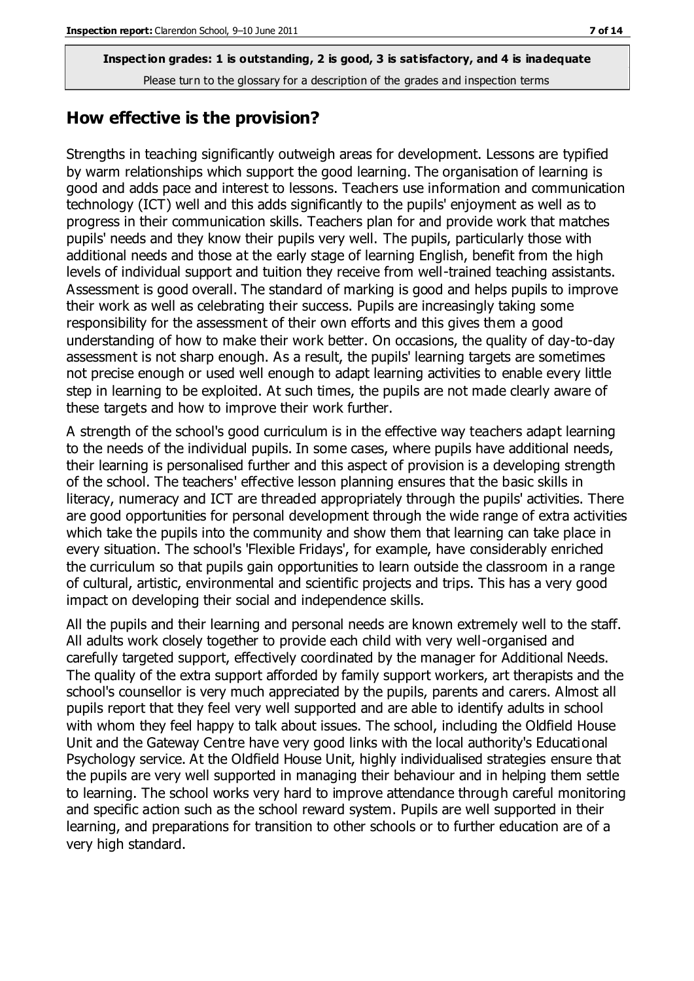#### **How effective is the provision?**

Strengths in teaching significantly outweigh areas for development. Lessons are typified by warm relationships which support the good learning. The organisation of learning is good and adds pace and interest to lessons. Teachers use information and communication technology (ICT) well and this adds significantly to the pupils' enjoyment as well as to progress in their communication skills. Teachers plan for and provide work that matches pupils' needs and they know their pupils very well. The pupils, particularly those with additional needs and those at the early stage of learning English, benefit from the high levels of individual support and tuition they receive from well-trained teaching assistants. Assessment is good overall. The standard of marking is good and helps pupils to improve their work as well as celebrating their success. Pupils are increasingly taking some responsibility for the assessment of their own efforts and this gives them a good understanding of how to make their work better. On occasions, the quality of day-to-day assessment is not sharp enough. As a result, the pupils' learning targets are sometimes not precise enough or used well enough to adapt learning activities to enable every little step in learning to be exploited. At such times, the pupils are not made clearly aware of these targets and how to improve their work further.

A strength of the school's good curriculum is in the effective way teachers adapt learning to the needs of the individual pupils. In some cases, where pupils have additional needs, their learning is personalised further and this aspect of provision is a developing strength of the school. The teachers' effective lesson planning ensures that the basic skills in literacy, numeracy and ICT are threaded appropriately through the pupils' activities. There are good opportunities for personal development through the wide range of extra activities which take the pupils into the community and show them that learning can take place in every situation. The school's 'Flexible Fridays', for example, have considerably enriched the curriculum so that pupils gain opportunities to learn outside the classroom in a range of cultural, artistic, environmental and scientific projects and trips. This has a very good impact on developing their social and independence skills.

All the pupils and their learning and personal needs are known extremely well to the staff. All adults work closely together to provide each child with very well-organised and carefully targeted support, effectively coordinated by the manager for Additional Needs. The quality of the extra support afforded by family support workers, art therapists and the school's counsellor is very much appreciated by the pupils, parents and carers. Almost all pupils report that they feel very well supported and are able to identify adults in school with whom they feel happy to talk about issues. The school, including the Oldfield House Unit and the Gateway Centre have very good links with the local authority's Educational Psychology service. At the Oldfield House Unit, highly individualised strategies ensure that the pupils are very well supported in managing their behaviour and in helping them settle to learning. The school works very hard to improve attendance through careful monitoring and specific action such as the school reward system. Pupils are well supported in their learning, and preparations for transition to other schools or to further education are of a very high standard.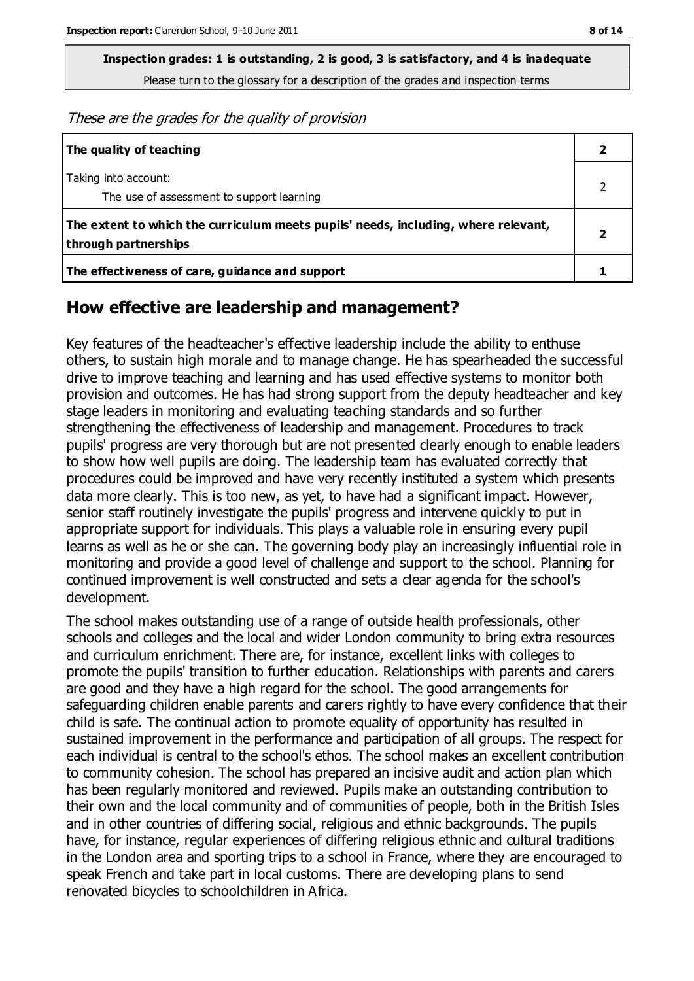**Inspection grades: 1 is outstanding, 2 is good, 3 is satisfactory, and 4 is inadequate**

Please turn to the glossary for a description of the grades and inspection terms

These are the grades for the quality of provision

| The quality of teaching                                                                                    |  |
|------------------------------------------------------------------------------------------------------------|--|
| Taking into account:<br>The use of assessment to support learning                                          |  |
| The extent to which the curriculum meets pupils' needs, including, where relevant,<br>through partnerships |  |
| The effectiveness of care, guidance and support                                                            |  |

#### **How effective are leadership and management?**

Key features of the headteacher's effective leadership include the ability to enthuse others, to sustain high morale and to manage change. He has spearheaded the successful drive to improve teaching and learning and has used effective systems to monitor both provision and outcomes. He has had strong support from the deputy headteacher and key stage leaders in monitoring and evaluating teaching standards and so further strengthening the effectiveness of leadership and management. Procedures to track pupils' progress are very thorough but are not presented clearly enough to enable leaders to show how well pupils are doing. The leadership team has evaluated correctly that procedures could be improved and have very recently instituted a system which presents data more clearly. This is too new, as yet, to have had a significant impact. However, senior staff routinely investigate the pupils' progress and intervene quickly to put in appropriate support for individuals. This plays a valuable role in ensuring every pupil learns as well as he or she can. The governing body play an increasingly influential role in monitoring and provide a good level of challenge and support to the school. Planning for continued improvement is well constructed and sets a clear agenda for the school's development.

The school makes outstanding use of a range of outside health professionals, other schools and colleges and the local and wider London community to bring extra resources and curriculum enrichment. There are, for instance, excellent links with colleges to promote the pupils' transition to further education. Relationships with parents and carers are good and they have a high regard for the school. The good arrangements for safeguarding children enable parents and carers rightly to have every confidence that their child is safe. The continual action to promote equality of opportunity has resulted in sustained improvement in the performance and participation of all groups. The respect for each individual is central to the school's ethos. The school makes an excellent contribution to community cohesion. The school has prepared an incisive audit and action plan which has been regularly monitored and reviewed. Pupils make an outstanding contribution to their own and the local community and of communities of people, both in the British Isles and in other countries of differing social, religious and ethnic backgrounds. The pupils have, for instance, regular experiences of differing religious ethnic and cultural traditions in the London area and sporting trips to a school in France, where they are encouraged to speak French and take part in local customs. There are developing plans to send renovated bicycles to schoolchildren in Africa.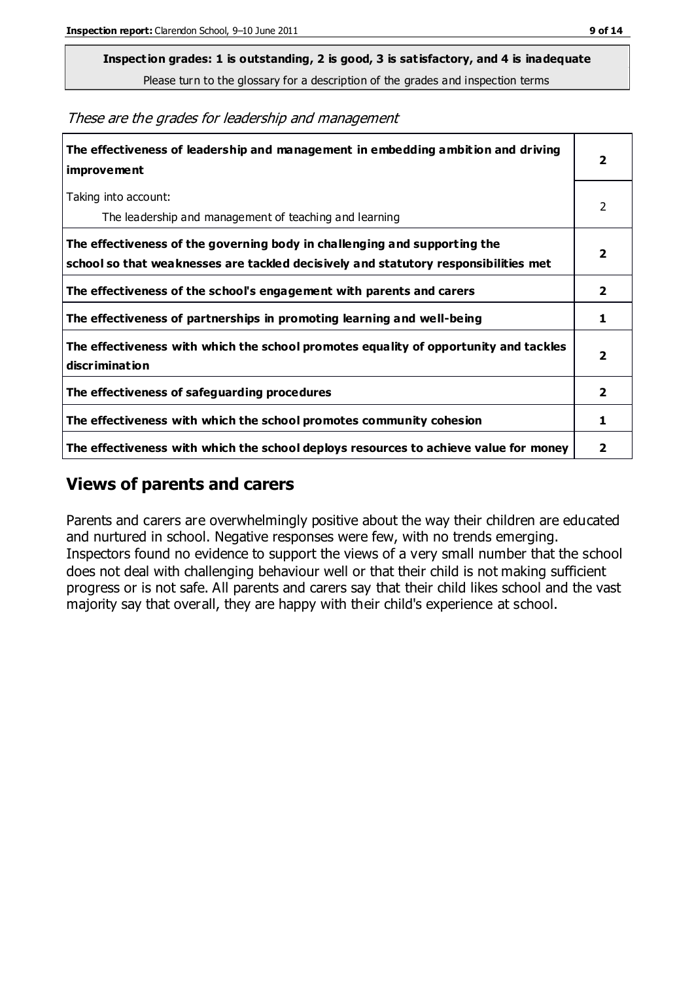**Inspection grades: 1 is outstanding, 2 is good, 3 is satisfactory, and 4 is inadequate**

Please turn to the glossary for a description of the grades and inspection terms

These are the grades for leadership and management

| The effectiveness of leadership and management in embedding ambition and driving<br><i>improvement</i>                                                           |                         |
|------------------------------------------------------------------------------------------------------------------------------------------------------------------|-------------------------|
| Taking into account:<br>The leadership and management of teaching and learning                                                                                   | 2                       |
| The effectiveness of the governing body in challenging and supporting the<br>school so that weaknesses are tackled decisively and statutory responsibilities met | 2                       |
| The effectiveness of the school's engagement with parents and carers                                                                                             | 2                       |
| The effectiveness of partnerships in promoting learning and well-being                                                                                           | 1                       |
| The effectiveness with which the school promotes equality of opportunity and tackles<br>discrimination                                                           | $\overline{\mathbf{2}}$ |
| The effectiveness of safeguarding procedures                                                                                                                     | $\mathbf{z}$            |
| The effectiveness with which the school promotes community cohesion                                                                                              |                         |
| The effectiveness with which the school deploys resources to achieve value for money                                                                             |                         |

#### **Views of parents and carers**

Parents and carers are overwhelmingly positive about the way their children are educated and nurtured in school. Negative responses were few, with no trends emerging. Inspectors found no evidence to support the views of a very small number that the school does not deal with challenging behaviour well or that their child is not making sufficient progress or is not safe. All parents and carers say that their child likes school and the vast majority say that overall, they are happy with their child's experience at school.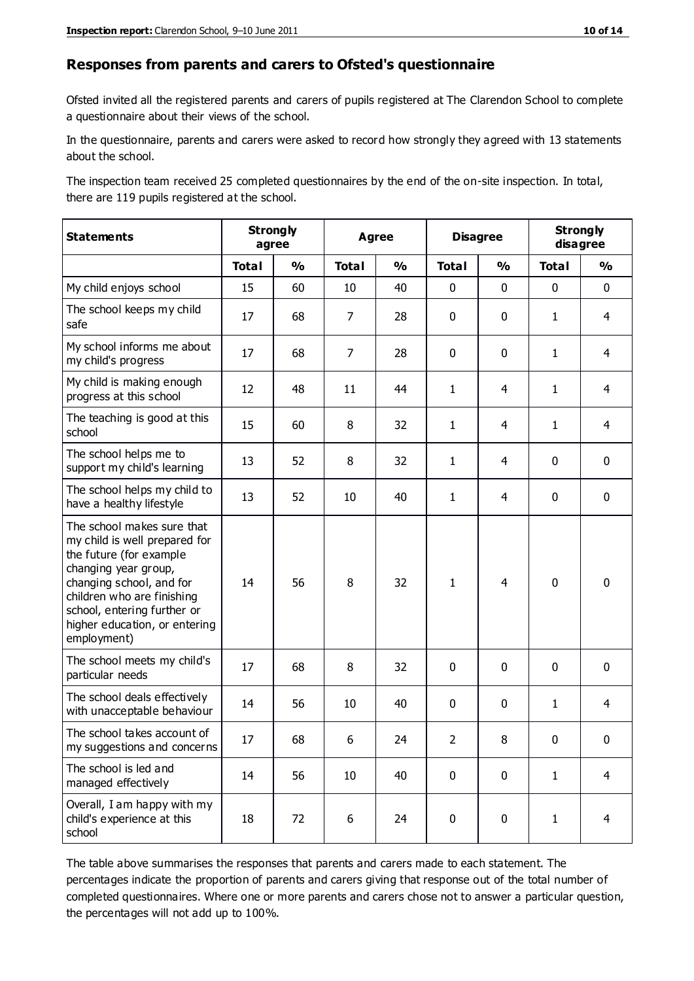#### **Responses from parents and carers to Ofsted's questionnaire**

Ofsted invited all the registered parents and carers of pupils registered at The Clarendon School to complete a questionnaire about their views of the school.

In the questionnaire, parents and carers were asked to record how strongly they agreed with 13 statements about the school.

The inspection team received 25 completed questionnaires by the end of the on-site inspection. In total, there are 119 pupils registered at the school.

| <b>Statements</b>                                                                                                                                                                                                                                       | <b>Strongly</b><br>agree |               | <b>Agree</b>   |               | <b>Disagree</b> |                | <b>Strongly</b><br>disagree |                |
|---------------------------------------------------------------------------------------------------------------------------------------------------------------------------------------------------------------------------------------------------------|--------------------------|---------------|----------------|---------------|-----------------|----------------|-----------------------------|----------------|
|                                                                                                                                                                                                                                                         | <b>Total</b>             | $\frac{1}{2}$ | <b>Total</b>   | $\frac{1}{2}$ | <b>Total</b>    | $\frac{1}{2}$  | <b>Total</b>                | $\frac{1}{2}$  |
| My child enjoys school                                                                                                                                                                                                                                  | 15                       | 60            | 10             | 40            | 0               | $\mathbf 0$    | $\mathbf 0$                 | $\mathbf 0$    |
| The school keeps my child<br>safe                                                                                                                                                                                                                       | 17                       | 68            | $\overline{7}$ | 28            | 0               | 0              | $\mathbf{1}$                | 4              |
| My school informs me about<br>my child's progress                                                                                                                                                                                                       | 17                       | 68            | 7              | 28            | 0               | 0              | $\mathbf{1}$                | 4              |
| My child is making enough<br>progress at this school                                                                                                                                                                                                    | 12                       | 48            | 11             | 44            | 1               | $\overline{4}$ | $\mathbf{1}$                | $\overline{4}$ |
| The teaching is good at this<br>school                                                                                                                                                                                                                  | 15                       | 60            | 8              | 32            | 1               | 4              | $\mathbf{1}$                | 4              |
| The school helps me to<br>support my child's learning                                                                                                                                                                                                   | 13                       | 52            | 8              | 32            | 1               | 4              | 0                           | $\mathbf 0$    |
| The school helps my child to<br>have a healthy lifestyle                                                                                                                                                                                                | 13                       | 52            | 10             | 40            | 1               | 4              | $\mathbf 0$                 | $\mathbf 0$    |
| The school makes sure that<br>my child is well prepared for<br>the future (for example<br>changing year group,<br>changing school, and for<br>children who are finishing<br>school, entering further or<br>higher education, or entering<br>employment) | 14                       | 56            | 8              | 32            | 1               | 4              | $\mathbf 0$                 | $\mathbf 0$    |
| The school meets my child's<br>particular needs                                                                                                                                                                                                         | 17                       | 68            | 8              | 32            | 0               | $\mathbf 0$    | $\mathbf 0$                 | $\mathbf 0$    |
| The school deals effectively<br>with unacceptable behaviour                                                                                                                                                                                             | 14                       | 56            | 10             | 40            | 0               | 0              | $\mathbf{1}$                | $\overline{4}$ |
| The school takes account of<br>my suggestions and concerns                                                                                                                                                                                              | 17                       | 68            | 6              | 24            | $\mathcal{P}$   | 8              | $\Omega$                    | $\Omega$       |
| The school is led and<br>managed effectively                                                                                                                                                                                                            | 14                       | 56            | 10             | 40            | 0               | $\mathbf 0$    | $\mathbf{1}$                | 4              |
| Overall, I am happy with my<br>child's experience at this<br>school                                                                                                                                                                                     | 18                       | 72            | 6              | 24            | 0               | $\mathbf 0$    | $\mathbf{1}$                | 4              |

The table above summarises the responses that parents and carers made to each statement. The percentages indicate the proportion of parents and carers giving that response out of the total number of completed questionnaires. Where one or more parents and carers chose not to answer a particular question, the percentages will not add up to 100%.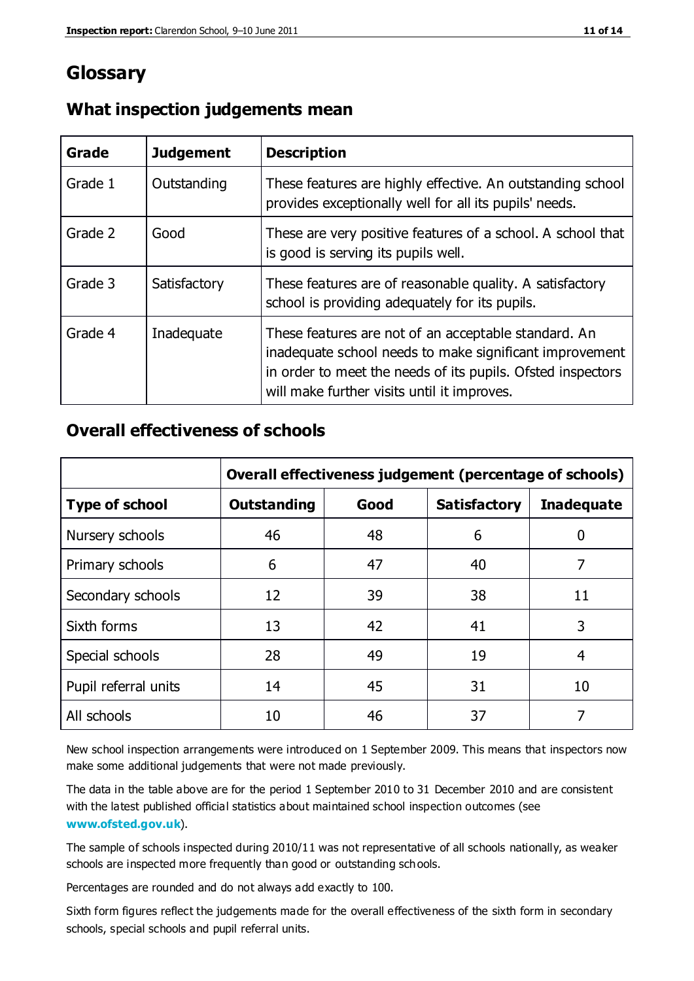## **Glossary**

| Grade   | <b>Judgement</b> | <b>Description</b>                                                                                                                                                                                                            |
|---------|------------------|-------------------------------------------------------------------------------------------------------------------------------------------------------------------------------------------------------------------------------|
| Grade 1 | Outstanding      | These features are highly effective. An outstanding school<br>provides exceptionally well for all its pupils' needs.                                                                                                          |
| Grade 2 | Good             | These are very positive features of a school. A school that<br>is good is serving its pupils well.                                                                                                                            |
| Grade 3 | Satisfactory     | These features are of reasonable quality. A satisfactory<br>school is providing adequately for its pupils.                                                                                                                    |
| Grade 4 | Inadequate       | These features are not of an acceptable standard. An<br>inadequate school needs to make significant improvement<br>in order to meet the needs of its pupils. Ofsted inspectors<br>will make further visits until it improves. |

#### **What inspection judgements mean**

#### **Overall effectiveness of schools**

|                       | Overall effectiveness judgement (percentage of schools) |      |                     |                   |
|-----------------------|---------------------------------------------------------|------|---------------------|-------------------|
| <b>Type of school</b> | <b>Outstanding</b>                                      | Good | <b>Satisfactory</b> | <b>Inadequate</b> |
| Nursery schools       | 46                                                      | 48   | 6                   |                   |
| Primary schools       | 6                                                       | 47   | 40                  | 7                 |
| Secondary schools     | 12                                                      | 39   | 38                  | 11                |
| Sixth forms           | 13                                                      | 42   | 41                  | 3                 |
| Special schools       | 28                                                      | 49   | 19                  | 4                 |
| Pupil referral units  | 14                                                      | 45   | 31                  | 10                |
| All schools           | 10                                                      | 46   | 37                  |                   |

New school inspection arrangements were introduced on 1 September 2009. This means that inspectors now make some additional judgements that were not made previously.

The data in the table above are for the period 1 September 2010 to 31 December 2010 and are consistent with the latest published official statistics about maintained school inspection outcomes (see **[www.ofsted.gov.uk](http://www.ofsted.gov.uk/)**).

The sample of schools inspected during 2010/11 was not representative of all schools nationally, as weaker schools are inspected more frequently than good or outstanding schools.

Percentages are rounded and do not always add exactly to 100.

Sixth form figures reflect the judgements made for the overall effectiveness of the sixth form in secondary schools, special schools and pupil referral units.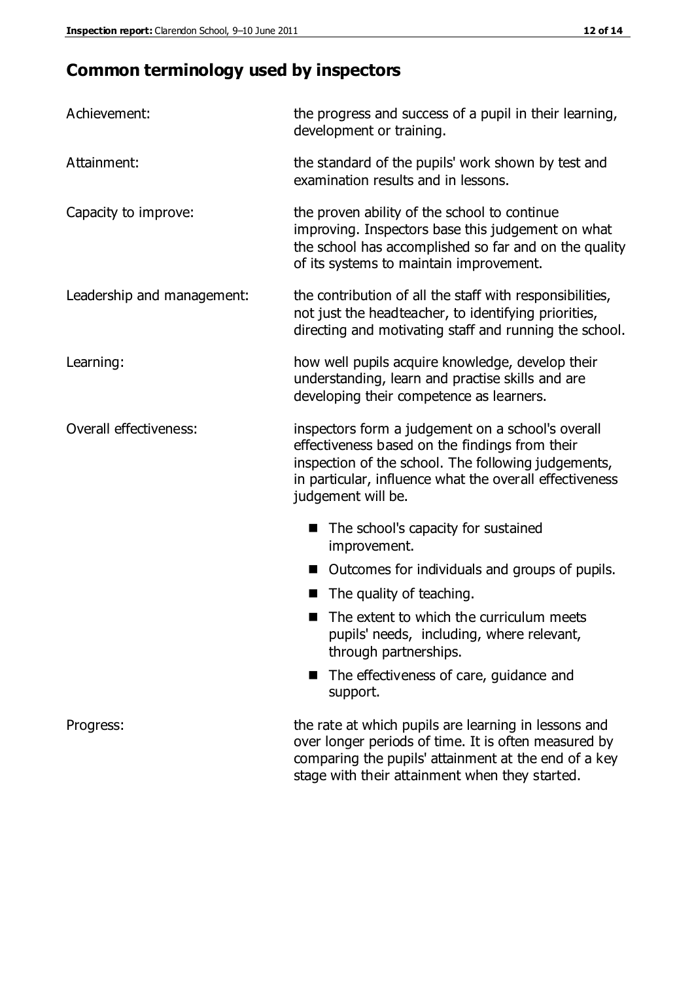## **Common terminology used by inspectors**

| Achievement:               | the progress and success of a pupil in their learning,<br>development or training.                                                                                                                                                          |  |  |
|----------------------------|---------------------------------------------------------------------------------------------------------------------------------------------------------------------------------------------------------------------------------------------|--|--|
| Attainment:                | the standard of the pupils' work shown by test and<br>examination results and in lessons.                                                                                                                                                   |  |  |
| Capacity to improve:       | the proven ability of the school to continue<br>improving. Inspectors base this judgement on what<br>the school has accomplished so far and on the quality<br>of its systems to maintain improvement.                                       |  |  |
| Leadership and management: | the contribution of all the staff with responsibilities,<br>not just the headteacher, to identifying priorities,<br>directing and motivating staff and running the school.                                                                  |  |  |
| Learning:                  | how well pupils acquire knowledge, develop their<br>understanding, learn and practise skills and are<br>developing their competence as learners.                                                                                            |  |  |
| Overall effectiveness:     | inspectors form a judgement on a school's overall<br>effectiveness based on the findings from their<br>inspection of the school. The following judgements,<br>in particular, influence what the overall effectiveness<br>judgement will be. |  |  |
|                            | The school's capacity for sustained<br>improvement.                                                                                                                                                                                         |  |  |
|                            | Outcomes for individuals and groups of pupils.                                                                                                                                                                                              |  |  |
|                            | The quality of teaching.                                                                                                                                                                                                                    |  |  |
|                            | The extent to which the curriculum meets<br>pupils' needs, including, where relevant,<br>through partnerships.                                                                                                                              |  |  |
|                            | The effectiveness of care, guidance and<br>support.                                                                                                                                                                                         |  |  |
| Progress:                  | the rate at which pupils are learning in lessons and<br>over longer periods of time. It is often measured by<br>comparing the pupils' attainment at the end of a key                                                                        |  |  |

stage with their attainment when they started.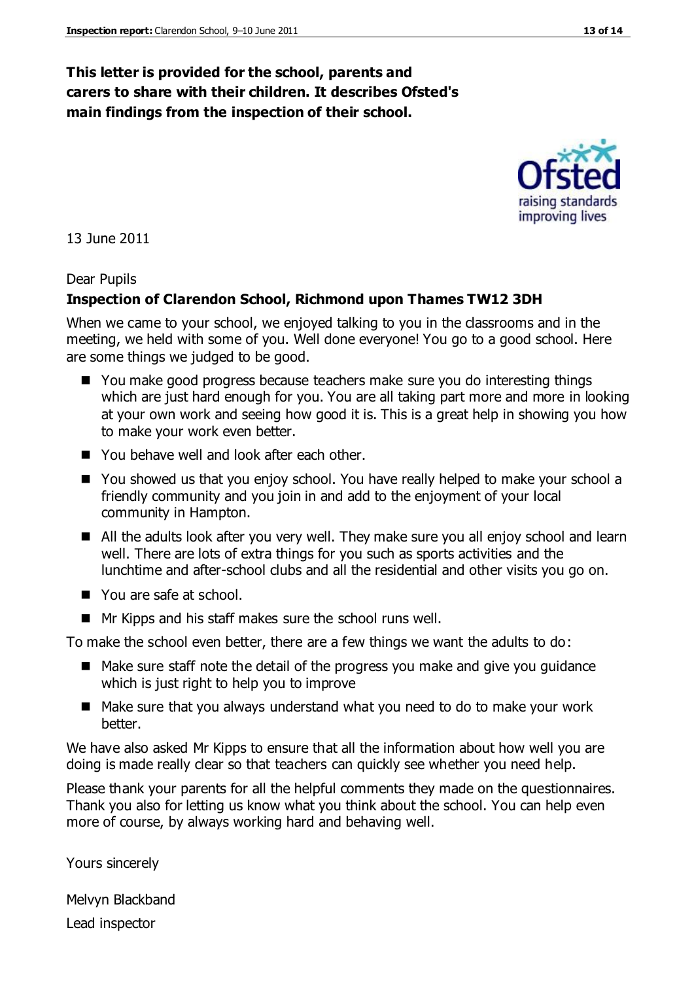#### **This letter is provided for the school, parents and carers to share with their children. It describes Ofsted's main findings from the inspection of their school.**

13 June 2011

#### Dear Pupils

#### **Inspection of Clarendon School, Richmond upon Thames TW12 3DH**

When we came to your school, we enjoyed talking to you in the classrooms and in the meeting, we held with some of you. Well done everyone! You go to a good school. Here are some things we judged to be good.

- You make good progress because teachers make sure you do interesting things which are just hard enough for you. You are all taking part more and more in looking at your own work and seeing how good it is. This is a great help in showing you how to make your work even better.
- You behave well and look after each other.
- You showed us that you enjoy school. You have really helped to make your school a friendly community and you join in and add to the enjoyment of your local community in Hampton.
- All the adults look after you very well. They make sure you all enjoy school and learn well. There are lots of extra things for you such as sports activities and the lunchtime and after-school clubs and all the residential and other visits you go on.
- You are safe at school.
- Mr Kipps and his staff makes sure the school runs well.

To make the school even better, there are a few things we want the adults to do:

- Make sure staff note the detail of the progress you make and give you guidance which is just right to help you to improve
- Make sure that you always understand what you need to do to make your work better.

We have also asked Mr Kipps to ensure that all the information about how well you are doing is made really clear so that teachers can quickly see whether you need help.

Please thank your parents for all the helpful comments they made on the questionnaires. Thank you also for letting us know what you think about the school. You can help even more of course, by always working hard and behaving well.

Yours sincerely

Melvyn Blackband Lead inspector